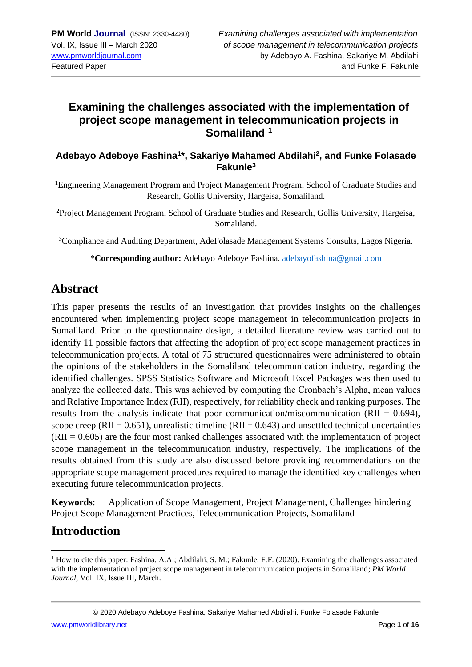## **Examining the challenges associated with the implementation of project scope management in telecommunication projects in Somaliland <sup>1</sup>**

#### **Adebayo Adeboye Fashina<sup>1</sup> \*, Sakariye Mahamed Abdilahi<sup>2</sup> , and Funke Folasade Fakunle<sup>3</sup>**

**<sup>1</sup>**Engineering Management Program and Project Management Program, School of Graduate Studies and Research, Gollis University, Hargeisa, Somaliland.

**<sup>2</sup>**Project Management Program, School of Graduate Studies and Research, Gollis University, Hargeisa, Somaliland.

<sup>3</sup>Compliance and Auditing Department, AdeFolasade Management Systems Consults, Lagos Nigeria.

\***Corresponding author:** Adebayo Adeboye Fashina. [adebayofashina@gmail.com](mailto:adebayofashina@gmail.com)

## **Abstract**

This paper presents the results of an investigation that provides insights on the challenges encountered when implementing project scope management in telecommunication projects in Somaliland. Prior to the questionnaire design, a detailed literature review was carried out to identify 11 possible factors that affecting the adoption of project scope management practices in telecommunication projects. A total of 75 structured questionnaires were administered to obtain the opinions of the stakeholders in the Somaliland telecommunication industry, regarding the identified challenges. SPSS Statistics Software and Microsoft Excel Packages was then used to analyze the collected data. This was achieved by computing the Cronbach's Alpha, mean values and Relative Importance Index (RII), respectively, for reliability check and ranking purposes. The results from the analysis indicate that poor communication/miscommunication (RII = 0.694), scope creep (RII =  $0.651$ ), unrealistic timeline (RII =  $0.643$ ) and unsettled technical uncertainties  $(RII = 0.605)$  are the four most ranked challenges associated with the implementation of project scope management in the telecommunication industry, respectively. The implications of the results obtained from this study are also discussed before providing recommendations on the appropriate scope management procedures required to manage the identified key challenges when executing future telecommunication projects.

**Keywords**: Application of Scope Management, Project Management, Challenges hindering Project Scope Management Practices, Telecommunication Projects, Somaliland

# **Introduction**

<sup>&</sup>lt;sup>1</sup> How to cite this paper: Fashina, A.A.; Abdilahi, S. M.; Fakunle, F.F. (2020). Examining the challenges associated with the implementation of project scope management in telecommunication projects in Somaliland; *PM World Journal*, Vol. IX, Issue III, March.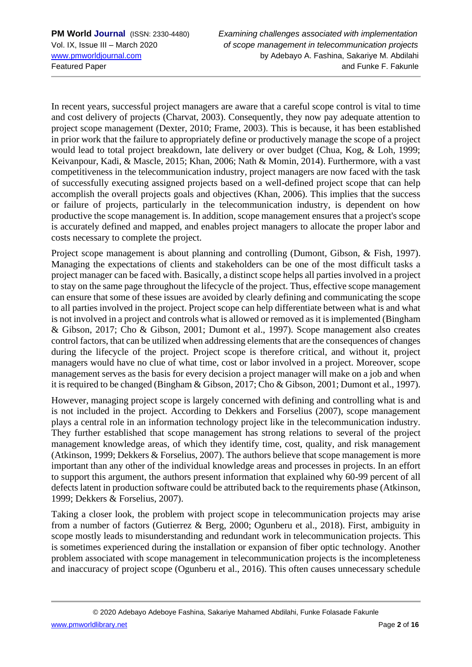In recent years, successful project managers are aware that a careful scope control is vital to time and cost delivery of projects (Charvat, 2003). Consequently, they now pay adequate attention to project scope management (Dexter, 2010; Frame, 2003). This is because, it has been established in prior work that the failure to appropriately define or productively manage the scope of a project would lead to total project breakdown, late delivery or over budget (Chua, Kog, & Loh, 1999; Keivanpour, Kadi, & Mascle, 2015; Khan, 2006; Nath & Momin, 2014). Furthermore, with a vast competitiveness in the telecommunication industry, project managers are now faced with the task of successfully executing assigned projects based on a well-defined project scope that can help accomplish the overall projects goals and objectives (Khan, 2006). This implies that the success or failure of projects, particularly in the telecommunication industry, is dependent on how productive the scope management is. In addition, scope management ensures that a project's scope is accurately defined and mapped, and enables project managers to allocate the proper labor and costs necessary to complete the project.

Project scope management is about planning and controlling (Dumont, Gibson, & Fish, 1997). Managing the expectations of clients and stakeholders can be one of the most difficult tasks a project manager can be faced with. Basically, a distinct scope helps all parties involved in a project to stay on the same page throughout the lifecycle of the project. Thus, effective scope management can ensure that some of these issues are avoided by clearly defining and communicating the scope to all parties involved in the project. Project scope can help differentiate between what is and what is not involved in a project and controls what is allowed or removed as it is implemented (Bingham & Gibson, 2017; Cho & Gibson, 2001; Dumont et al., 1997). Scope management also creates control factors, that can be utilized when addressing elements that are the consequences of changes during the lifecycle of the project. Project scope is therefore critical, and without it, project managers would have no clue of what time, cost or labor involved in a project. Moreover, scope management serves as the basis for every decision a project manager will make on a job and when it is required to be changed (Bingham & Gibson, 2017; Cho & Gibson, 2001; Dumont et al., 1997).

However, managing project scope is largely concerned with defining and controlling what is and is not included in the project. According to Dekkers and Forselius (2007), scope management plays a central role in an information technology project like in the telecommunication industry. They further established that scope management has strong relations to several of the project management knowledge areas, of which they identify time, cost, quality, and risk management (Atkinson, 1999; Dekkers & Forselius, 2007). The authors believe that scope management is more important than any other of the individual knowledge areas and processes in projects. In an effort to support this argument, the authors present information that explained why 60-99 percent of all defects latent in production software could be attributed back to the requirements phase (Atkinson, 1999; Dekkers & Forselius, 2007).

Taking a closer look, the problem with project scope in telecommunication projects may arise from a number of factors (Gutierrez & Berg, 2000; Ogunberu et al., 2018). First, ambiguity in scope mostly leads to misunderstanding and redundant work in telecommunication projects. This is sometimes experienced during the installation or expansion of fiber optic technology. Another problem associated with scope management in telecommunication projects is the incompleteness and inaccuracy of project scope (Ogunberu et al., 2016). This often causes unnecessary schedule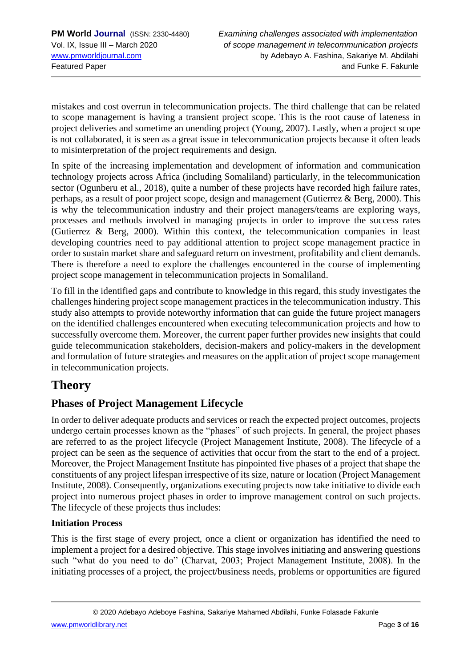mistakes and cost overrun in telecommunication projects. The third challenge that can be related to scope management is having a transient project scope. This is the root cause of lateness in project deliveries and sometime an unending project (Young, 2007). Lastly, when a project scope is not collaborated, it is seen as a great issue in telecommunication projects because it often leads to misinterpretation of the project requirements and design.

In spite of the increasing implementation and development of information and communication technology projects across Africa (including Somaliland) particularly, in the telecommunication sector (Ogunberu et al., 2018), quite a number of these projects have recorded high failure rates, perhaps, as a result of poor project scope, design and management (Gutierrez & Berg, 2000). This is why the telecommunication industry and their project managers/teams are exploring ways, processes and methods involved in managing projects in order to improve the success rates (Gutierrez & Berg, 2000). Within this context, the telecommunication companies in least developing countries need to pay additional attention to project scope management practice in order to sustain market share and safeguard return on investment, profitability and client demands. There is therefore a need to explore the challenges encountered in the course of implementing project scope management in telecommunication projects in Somaliland.

To fill in the identified gaps and contribute to knowledge in this regard, this study investigates the challenges hindering project scope management practices in the telecommunication industry. This study also attempts to provide noteworthy information that can guide the future project managers on the identified challenges encountered when executing telecommunication projects and how to successfully overcome them. Moreover, the current paper further provides new insights that could guide telecommunication stakeholders, decision-makers and policy-makers in the development and formulation of future strategies and measures on the application of project scope management in telecommunication projects.

# **Theory**

## **Phases of Project Management Lifecycle**

In order to deliver adequate products and services or reach the expected project outcomes, projects undergo certain processes known as the "phases" of such projects. In general, the project phases are referred to as the project lifecycle (Project Management Institute, 2008). The lifecycle of a project can be seen as the sequence of activities that occur from the start to the end of a project. Moreover, the Project Management Institute has pinpointed five phases of a project that shape the constituents of any project lifespan irrespective of its size, nature or location (Project Management Institute, 2008). Consequently, organizations executing projects now take initiative to divide each project into numerous project phases in order to improve management control on such projects. The lifecycle of these projects thus includes:

### **Initiation Process**

This is the first stage of every project, once a client or organization has identified the need to implement a project for a desired objective. This stage involves initiating and answering questions such "what do you need to do" (Charvat, 2003; Project Management Institute, 2008). In the initiating processes of a project, the project/business needs, problems or opportunities are figured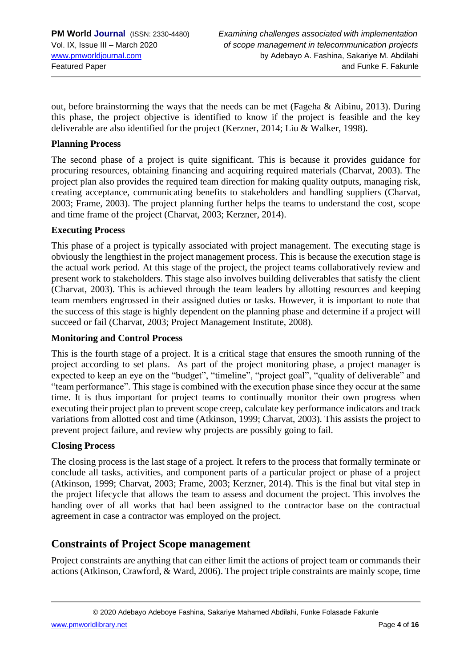out, before brainstorming the ways that the needs can be met (Fageha & Aibinu, 2013). During this phase, the project objective is identified to know if the project is feasible and the key deliverable are also identified for the project (Kerzner, 2014; Liu & Walker, 1998).

#### **Planning Process**

The second phase of a project is quite significant. This is because it provides guidance for procuring resources, obtaining financing and acquiring required materials (Charvat, 2003). The project plan also provides the required team direction for making quality outputs, managing risk, creating acceptance, communicating benefits to stakeholders and handling suppliers (Charvat, 2003; Frame, 2003). The project planning further helps the teams to understand the cost, scope and time frame of the project (Charvat, 2003; Kerzner, 2014).

#### **Executing Process**

This phase of a project is typically associated with project management. The executing stage is obviously the lengthiest in the project management process. This is because the execution stage is the actual work period. At this stage of the project, the project teams collaboratively review and present work to stakeholders. This stage also involves building deliverables that satisfy the client (Charvat, 2003). This is achieved through the team leaders by allotting resources and keeping team members engrossed in their assigned duties or tasks. However, it is important to note that the success of this stage is highly dependent on the planning phase and determine if a project will succeed or fail (Charvat, 2003; Project Management Institute, 2008).

#### **Monitoring and Control Process**

This is the fourth stage of a project. It is a critical stage that ensures the smooth running of the project according to set plans. As part of the project monitoring phase, a project manager is expected to keep an eye on the "budget", "timeline", "project goal", "quality of deliverable" and "team performance". This stage is combined with the execution phase since they occur at the same time. It is thus important for project teams to continually monitor their own progress when executing their project plan to prevent scope creep, calculate key performance indicators and track variations from allotted cost and time (Atkinson, 1999; Charvat, 2003). This assists the project to prevent project failure, and review why projects are possibly going to fail.

#### **Closing Process**

The closing process is the last stage of a project. It refers to the process that formally terminate or conclude all tasks, activities, and component parts of a particular project or phase of a project (Atkinson, 1999; Charvat, 2003; Frame, 2003; Kerzner, 2014). This is the final but vital step in the project lifecycle that allows the team to assess and document the project. This involves the handing over of all works that had been assigned to the contractor base on the contractual agreement in case a contractor was employed on the project.

### **Constraints of Project Scope management**

Project constraints are anything that can either limit the actions of project team or commands their actions (Atkinson, Crawford, & Ward, 2006). The project triple constraints are mainly scope, time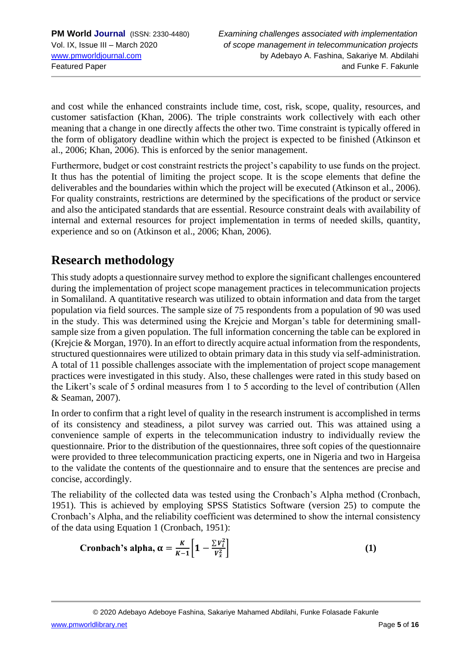and cost while the enhanced constraints include time, cost, risk, scope, quality, resources, and customer satisfaction (Khan, 2006). The triple constraints work collectively with each other meaning that a change in one directly affects the other two. Time constraint is typically offered in the form of obligatory deadline within which the project is expected to be finished (Atkinson et al., 2006; Khan, 2006). This is enforced by the senior management.

Furthermore, budget or cost constraint restricts the project's capability to use funds on the project. It thus has the potential of limiting the project scope. It is the scope elements that define the deliverables and the boundaries within which the project will be executed (Atkinson et al., 2006). For quality constraints, restrictions are determined by the specifications of the product or service and also the anticipated standards that are essential. Resource constraint deals with availability of internal and external resources for project implementation in terms of needed skills, quantity, experience and so on (Atkinson et al., 2006; Khan, 2006).

# **Research methodology**

This study adopts a questionnaire survey method to explore the significant challenges encountered during the implementation of project scope management practices in telecommunication projects in Somaliland. A quantitative research was utilized to obtain information and data from the target population via field sources. The sample size of 75 respondents from a population of 90 was used in the study. This was determined using the Krejcie and Morgan's table for determining smallsample size from a given population. The full information concerning the table can be explored in (Krejcie & Morgan, 1970). In an effort to directly acquire actual information from the respondents, structured questionnaires were utilized to obtain primary data in this study via self-administration. A total of 11 possible challenges associate with the implementation of project scope management practices were investigated in this study. Also, these challenges were rated in this study based on the Likert's scale of 5 ordinal measures from 1 to 5 according to the level of contribution (Allen & Seaman, 2007).

In order to confirm that a right level of quality in the research instrument is accomplished in terms of its consistency and steadiness, a pilot survey was carried out. This was attained using a convenience sample of experts in the telecommunication industry to individually review the questionnaire. Prior to the distribution of the questionnaires, three soft copies of the questionnaire were provided to three telecommunication practicing experts, one in Nigeria and two in Hargeisa to the validate the contents of the questionnaire and to ensure that the sentences are precise and concise, accordingly.

The reliability of the collected data was tested using the Cronbach's Alpha method (Cronbach, 1951). This is achieved by employing SPSS Statistics Software (version 25) to compute the Cronbach's Alpha, and the reliability coefficient was determined to show the internal consistency of the data using Equation 1 (Cronbach, 1951):

Cronbach's alpha, 
$$
\alpha = \frac{K}{K-1} \left[ 1 - \frac{\sum v_i^2}{v_x^2} \right]
$$
 (1)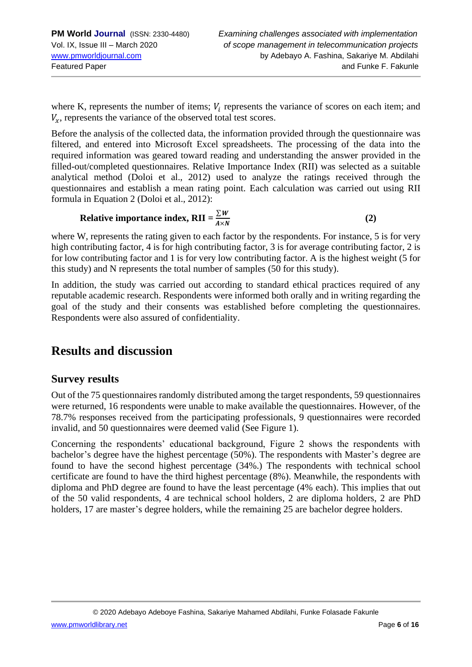where K, represents the number of items;  $V_i$  represents the variance of scores on each item; and  $V_r$ , represents the variance of the observed total test scores.

Before the analysis of the collected data, the information provided through the questionnaire was filtered, and entered into Microsoft Excel spreadsheets. The processing of the data into the required information was geared toward reading and understanding the answer provided in the filled-out/completed questionnaires. Relative Importance Index (RII) was selected as a suitable analytical method (Doloi et al., 2012) used to analyze the ratings received through the questionnaires and establish a mean rating point. Each calculation was carried out using RII formula in Equation 2 (Doloi et al., 2012):

**Relative importance index, RII** =  $\frac{\sum W}{\sum A}$  $A \times N$ **(2)**

where W, represents the rating given to each factor by the respondents. For instance, 5 is for very high contributing factor, 4 is for high contributing factor, 3 is for average contributing factor, 2 is for low contributing factor and 1 is for very low contributing factor. A is the highest weight (5 for this study) and N represents the total number of samples (50 for this study).

In addition, the study was carried out according to standard ethical practices required of any reputable academic research. Respondents were informed both orally and in writing regarding the goal of the study and their consents was established before completing the questionnaires. Respondents were also assured of confidentiality.

# **Results and discussion**

### **Survey results**

Out of the 75 questionnaires randomly distributed among the target respondents, 59 questionnaires were returned, 16 respondents were unable to make available the questionnaires. However, of the 78.7% responses received from the participating professionals, 9 questionnaires were recorded invalid, and 50 questionnaires were deemed valid (See Figure 1).

Concerning the respondents' educational background, Figure 2 shows the respondents with bachelor's degree have the highest percentage (50%). The respondents with Master's degree are found to have the second highest percentage (34%.) The respondents with technical school certificate are found to have the third highest percentage (8%). Meanwhile, the respondents with diploma and PhD degree are found to have the least percentage (4% each). This implies that out of the 50 valid respondents, 4 are technical school holders, 2 are diploma holders, 2 are PhD holders, 17 are master's degree holders, while the remaining 25 are bachelor degree holders.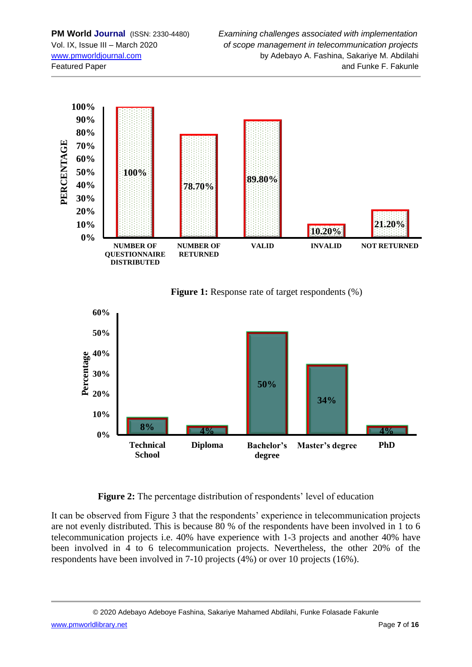

**Figure 1:** Response rate of target respondents  $(\%)$ 



**Figure 2:** The percentage distribution of respondents' level of education

It can be observed from Figure 3 that the respondents' experience in telecommunication projects are not evenly distributed. This is because 80 % of the respondents have been involved in 1 to 6 telecommunication projects i.e. 40% have experience with 1-3 projects and another 40% have been involved in 4 to 6 telecommunication projects. Nevertheless, the other 20% of the respondents have been involved in 7-10 projects (4%) or over 10 projects (16%).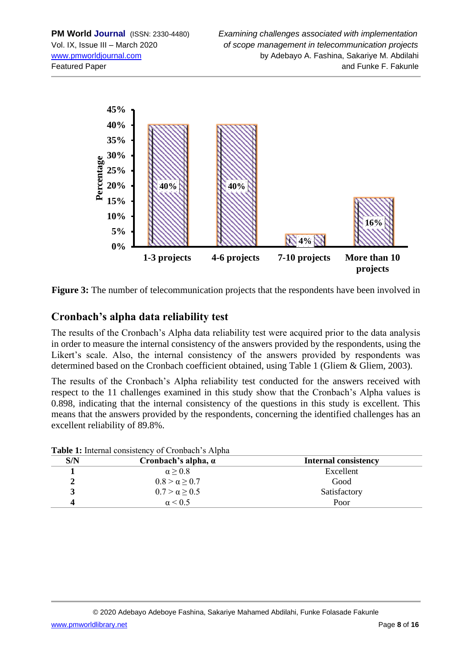



### **Cronbach's alpha data reliability test**

The results of the Cronbach's Alpha data reliability test were acquired prior to the data analysis in order to measure the internal consistency of the answers provided by the respondents, using the Likert's scale. Also, the internal consistency of the answers provided by respondents was determined based on the Cronbach coefficient obtained, using Table 1 (Gliem & Gliem, 2003).

The results of the Cronbach's Alpha reliability test conducted for the answers received with respect to the 11 challenges examined in this study show that the Cronbach's Alpha values is 0.898, indicating that the internal consistency of the questions in this study is excellent. This means that the answers provided by the respondents, concerning the identified challenges has an excellent reliability of 89.8%.

| S/N | Cronbach's alpha, $\alpha$ | <b>Internal consistency</b> |  |
|-----|----------------------------|-----------------------------|--|
|     | $\alpha > 0.8$             | Excellent                   |  |
|     | $0.8 > \alpha \geq 0.7$    | Good                        |  |
|     | $0.7 > \alpha \ge 0.5$     | Satisfactory                |  |
|     | $\alpha$ < 0.5             | Poor                        |  |

**Table 1:** Internal consistency of Cronbach's Alpha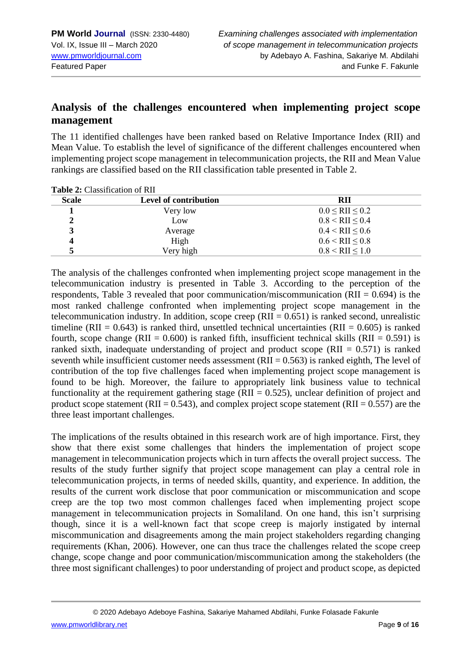### **Analysis of the challenges encountered when implementing project scope management**

The 11 identified challenges have been ranked based on Relative Importance Index (RII) and Mean Value. To establish the level of significance of the different challenges encountered when implementing project scope management in telecommunication projects, the RII and Mean Value rankings are classified based on the RII classification table presented in Table 2.

| <b>Tayle 2:</b> Chassilleation of IMI |                       |                         |  |  |  |
|---------------------------------------|-----------------------|-------------------------|--|--|--|
| <b>Scale</b>                          | Level of contribution | RII                     |  |  |  |
|                                       | Very low              | $0.0 \leq RII \leq 0.2$ |  |  |  |
|                                       | Low                   | $0.8 <$ RII $\leq 0.4$  |  |  |  |
| 3                                     | Average               | $0.4 <$ RII $\leq 0.6$  |  |  |  |
| 4                                     | High                  | $0.6 <$ RII $\leq 0.8$  |  |  |  |
|                                       | Very high             | $0.8 <$ RII $\leq 1.0$  |  |  |  |

**Table 2:** Classification of RII

The analysis of the challenges confronted when implementing project scope management in the telecommunication industry is presented in Table 3. According to the perception of the respondents, Table 3 revealed that poor communication/miscommunication (RII =  $0.694$ ) is the most ranked challenge confronted when implementing project scope management in the telecommunication industry. In addition, scope creep  $(RII = 0.651)$  is ranked second, unrealistic timeline (RII =  $0.643$ ) is ranked third, unsettled technical uncertainties (RII =  $0.605$ ) is ranked fourth, scope change (RII =  $0.600$ ) is ranked fifth, insufficient technical skills (RII =  $0.591$ ) is ranked sixth, inadequate understanding of project and product scope (RII =  $0.571$ ) is ranked seventh while insufficient customer needs assessment  $(RII = 0.563)$  is ranked eighth. The level of contribution of the top five challenges faced when implementing project scope management is found to be high. Moreover, the failure to appropriately link business value to technical functionality at the requirement gathering stage ( $RII = 0.525$ ), unclear definition of project and product scope statement (RII = 0.543), and complex project scope statement (RII =  $0.557$ ) are the three least important challenges.

The implications of the results obtained in this research work are of high importance. First, they show that there exist some challenges that hinders the implementation of project scope management in telecommunication projects which in turn affects the overall project success. The results of the study further signify that project scope management can play a central role in telecommunication projects, in terms of needed skills, quantity, and experience. In addition, the results of the current work disclose that poor communication or miscommunication and scope creep are the top two most common challenges faced when implementing project scope management in telecommunication projects in Somaliland. On one hand, this isn't surprising though, since it is a well-known fact that scope creep is majorly instigated by internal miscommunication and disagreements among the main project stakeholders regarding changing requirements (Khan, 2006). However, one can thus trace the challenges related the scope creep change, scope change and poor communication/miscommunication among the stakeholders (the three most significant challenges) to poor understanding of project and product scope, as depicted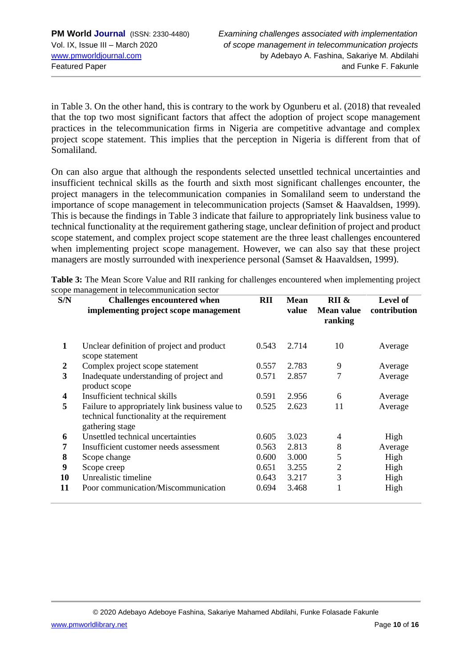in Table 3. On the other hand, this is contrary to the work by Ogunberu et al. (2018) that revealed that the top two most significant factors that affect the adoption of project scope management practices in the telecommunication firms in Nigeria are competitive advantage and complex project scope statement. This implies that the perception in Nigeria is different from that of Somaliland.

On can also argue that although the respondents selected unsettled technical uncertainties and insufficient technical skills as the fourth and sixth most significant challenges encounter, the project managers in the telecommunication companies in Somaliland seem to understand the importance of scope management in telecommunication projects (Samset & Haavaldsen, 1999). This is because the findings in Table 3 indicate that failure to appropriately link business value to technical functionality at the requirement gathering stage, unclear definition of project and product scope statement, and complex project scope statement are the three least challenges encountered when implementing project scope management. However, we can also say that these project managers are mostly surrounded with inexperience personal (Samset & Haavaldsen, 1999).

| Table 3: The Mean Score Value and RII ranking for challenges encountered when implementing project |  |
|----------------------------------------------------------------------------------------------------|--|
| scope management in telecommunication sector                                                       |  |

| S/N                     | <b>Challenges encountered when</b><br>implementing project scope management                                      | RII   | <b>Mean</b><br>value | $\overline{RII} \&$<br>Mean value<br>ranking | Level of<br>contribution |
|-------------------------|------------------------------------------------------------------------------------------------------------------|-------|----------------------|----------------------------------------------|--------------------------|
| 1                       | Unclear definition of project and product<br>scope statement                                                     | 0.543 | 2.714                | 10                                           | Average                  |
| $\boldsymbol{2}$        | Complex project scope statement                                                                                  | 0.557 | 2.783                | 9                                            | Average                  |
| 3                       | Inadequate understanding of project and<br>product scope                                                         | 0.571 | 2.857                | 7                                            | Average                  |
| $\overline{\mathbf{4}}$ | Insufficient technical skills                                                                                    | 0.591 | 2.956                | 6                                            | Average                  |
| 5                       | Failure to appropriately link business value to<br>technical functionality at the requirement<br>gathering stage | 0.525 | 2.623                | 11                                           | Average                  |
| 6                       | Unsettled technical uncertainties                                                                                | 0.605 | 3.023                | 4                                            | High                     |
| 7                       | Insufficient customer needs assessment                                                                           | 0.563 | 2.813                | 8                                            | Average                  |
| 8                       | Scope change                                                                                                     | 0.600 | 3.000                | 5                                            | High                     |
| 9                       | Scope creep                                                                                                      | 0.651 | 3.255                | $\overline{2}$                               | High                     |
| 10                      | Unrealistic timeline                                                                                             | 0.643 | 3.217                | 3                                            | High                     |
| 11                      | Poor communication/Miscommunication                                                                              | 0.694 | 3.468                |                                              | High                     |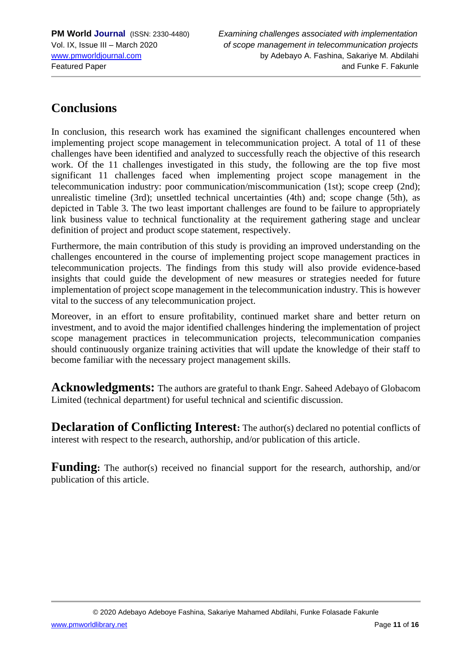# **Conclusions**

In conclusion, this research work has examined the significant challenges encountered when implementing project scope management in telecommunication project. A total of 11 of these challenges have been identified and analyzed to successfully reach the objective of this research work. Of the 11 challenges investigated in this study, the following are the top five most significant 11 challenges faced when implementing project scope management in the telecommunication industry: poor communication/miscommunication (1st); scope creep (2nd); unrealistic timeline (3rd); unsettled technical uncertainties (4th) and; scope change (5th), as depicted in Table 3. The two least important challenges are found to be failure to appropriately link business value to technical functionality at the requirement gathering stage and unclear definition of project and product scope statement, respectively.

Furthermore, the main contribution of this study is providing an improved understanding on the challenges encountered in the course of implementing project scope management practices in telecommunication projects. The findings from this study will also provide evidence-based insights that could guide the development of new measures or strategies needed for future implementation of project scope management in the telecommunication industry. This is however vital to the success of any telecommunication project.

Moreover, in an effort to ensure profitability, continued market share and better return on investment, and to avoid the major identified challenges hindering the implementation of project scope management practices in telecommunication projects, telecommunication companies should continuously organize training activities that will update the knowledge of their staff to become familiar with the necessary project management skills.

**Acknowledgments:** The authors are grateful to thank Engr. Saheed Adebayo of Globacom Limited (technical department) for useful technical and scientific discussion.

**Declaration of Conflicting Interest:** The author(s) declared no potential conflicts of interest with respect to the research, authorship, and/or publication of this article.

**Funding:** The author(s) received no financial support for the research, authorship, and/or publication of this article.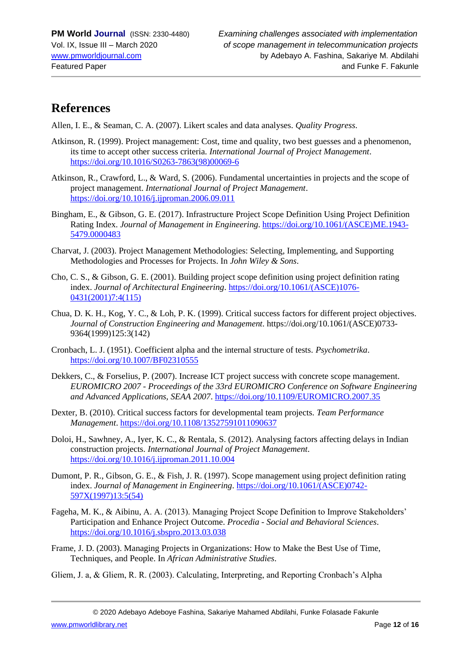# **References**

Allen, I. E., & Seaman, C. A. (2007). Likert scales and data analyses. *Quality Progress*.

- Atkinson, R. (1999). Project management: Cost, time and quality, two best guesses and a phenomenon, its time to accept other success criteria. *International Journal of Project Management*. https://doi.org/10.1016/S0263-7863(98)00069-6
- Atkinson, R., Crawford, L., & Ward, S. (2006). Fundamental uncertainties in projects and the scope of project management. *International Journal of Project Management*. https://doi.org/10.1016/j.ijproman.2006.09.011
- Bingham, E., & Gibson, G. E. (2017). Infrastructure Project Scope Definition Using Project Definition Rating Index. *Journal of Management in Engineering*. https://doi.org/10.1061/(ASCE)ME.1943- 5479.0000483
- Charvat, J. (2003). Project Management Methodologies: Selecting, Implementing, and Supporting Methodologies and Processes for Projects. In *John Wiley & Sons*.
- Cho, C. S., & Gibson, G. E. (2001). Building project scope definition using project definition rating index. *Journal of Architectural Engineering*. https://doi.org/10.1061/(ASCE)1076- 0431(2001)7:4(115)
- Chua, D. K. H., Kog, Y. C., & Loh, P. K. (1999). Critical success factors for different project objectives. *Journal of Construction Engineering and Management*. https://doi.org/10.1061/(ASCE)0733- 9364(1999)125:3(142)
- Cronbach, L. J. (1951). Coefficient alpha and the internal structure of tests. *Psychometrika*. https://doi.org/10.1007/BF02310555
- Dekkers, C., & Forselius, P. (2007). Increase ICT project success with concrete scope management. *EUROMICRO 2007 - Proceedings of the 33rd EUROMICRO Conference on Software Engineering and Advanced Applications, SEAA 2007*. https://doi.org/10.1109/EUROMICRO.2007.35
- Dexter, B. (2010). Critical success factors for developmental team projects. *Team Performance Management*. https://doi.org/10.1108/13527591011090637
- Doloi, H., Sawhney, A., Iyer, K. C., & Rentala, S. (2012). Analysing factors affecting delays in Indian construction projects. *International Journal of Project Management*. https://doi.org/10.1016/j.ijproman.2011.10.004
- Dumont, P. R., Gibson, G. E., & Fish, J. R. (1997). Scope management using project definition rating index. *Journal of Management in Engineering*. https://doi.org/10.1061/(ASCE)0742- 597X(1997)13:5(54)
- Fageha, M. K., & Aibinu, A. A. (2013). Managing Project Scope Definition to Improve Stakeholders' Participation and Enhance Project Outcome. *Procedia - Social and Behavioral Sciences*. https://doi.org/10.1016/j.sbspro.2013.03.038
- Frame, J. D. (2003). Managing Projects in Organizations: How to Make the Best Use of Time, Techniques, and People. In *African Administrative Studies*.
- Gliem, J. a, & Gliem, R. R. (2003). Calculating, Interpreting, and Reporting Cronbach's Alpha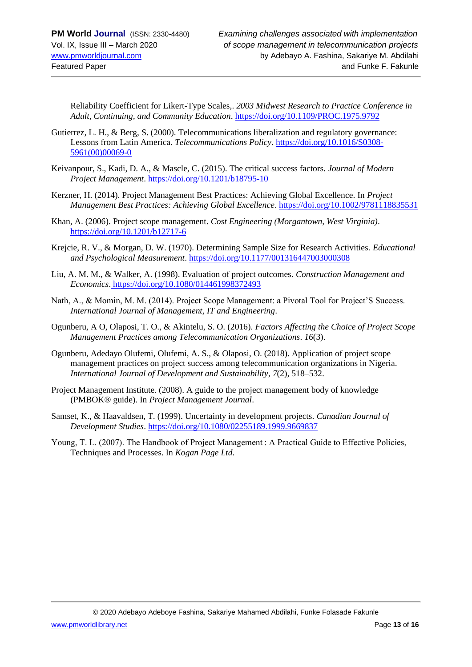Reliability Coefficient for Likert-Type Scales,. *2003 Midwest Research to Practice Conference in Adult, Continuing, and Community Education*. https://doi.org/10.1109/PROC.1975.9792

- Gutierrez, L. H., & Berg, S. (2000). Telecommunications liberalization and regulatory governance: Lessons from Latin America. *Telecommunications Policy*. https://doi.org/10.1016/S0308- 5961(00)00069-0
- Keivanpour, S., Kadi, D. A., & Mascle, C. (2015). The critical success factors. *Journal of Modern Project Management*. https://doi.org/10.1201/b18795-10
- Kerzner, H. (2014). Project Management Best Practices: Achieving Global Excellence. In *Project Management Best Practices: Achieving Global Excellence*. https://doi.org/10.1002/9781118835531
- Khan, A. (2006). Project scope management. *Cost Engineering (Morgantown, West Virginia)*. https://doi.org/10.1201/b12717-6
- Krejcie, R. V., & Morgan, D. W. (1970). Determining Sample Size for Research Activities. *Educational and Psychological Measurement*. https://doi.org/10.1177/001316447003000308
- Liu, A. M. M., & Walker, A. (1998). Evaluation of project outcomes. *Construction Management and Economics*. https://doi.org/10.1080/014461998372493
- Nath, A., & Momin, M. M. (2014). Project Scope Management: a Pivotal Tool for Project'S Success. *International Journal of Management, IT and Engineering*.
- Ogunberu, A O, Olaposi, T. O., & Akintelu, S. O. (2016). *Factors Affecting the Choice of Project Scope Management Practices among Telecommunication Organizations*. *16*(3).
- Ogunberu, Adedayo Olufemi, Olufemi, A. S., & Olaposi, O. (2018). Application of project scope management practices on project success among telecommunication organizations in Nigeria. *International Journal of Development and Sustainability*, *7*(2), 518–532.
- Project Management Institute. (2008). A guide to the project management body of knowledge (PMBOK® guide). In *Project Management Journal*.
- Samset, K., & Haavaldsen, T. (1999). Uncertainty in development projects. *Canadian Journal of Development Studies*. https://doi.org/10.1080/02255189.1999.9669837
- Young, T. L. (2007). The Handbook of Project Management : A Practical Guide to Effective Policies, Techniques and Processes. In *Kogan Page Ltd*.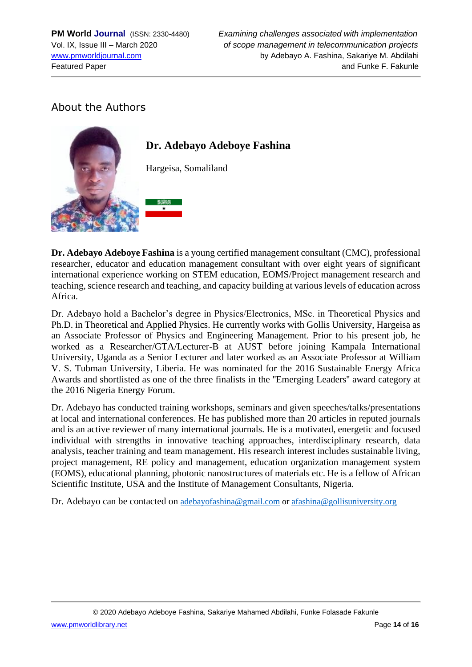## About the Authors



**Dr. Adebayo Adeboye Fashina** is a young certified management consultant (CMC), professional researcher, educator and education management consultant with over eight years of significant international experience working on STEM education, EOMS/Project management research and teaching, science research and teaching, and capacity building at various levels of education across Africa.

Dr. Adebayo hold a Bachelor's degree in Physics/Electronics, MSc. in Theoretical Physics and Ph.D. in Theoretical and Applied Physics. He currently works with Gollis University, Hargeisa as an Associate Professor of Physics and Engineering Management. Prior to his present job, he worked as a Researcher/GTA/Lecturer-B at AUST before joining Kampala International University, Uganda as a Senior Lecturer and later worked as an Associate Professor at William V. S. Tubman University, Liberia. He was nominated for the 2016 Sustainable Energy Africa Awards and shortlisted as one of the three finalists in the ''Emerging Leaders'' award category at the 2016 Nigeria Energy Forum.

Dr. Adebayo has conducted training workshops, seminars and given speeches/talks/presentations at local and international conferences. He has published more than 20 articles in reputed journals and is an active reviewer of many international journals. He is a motivated, energetic and focused individual with strengths in innovative teaching approaches, interdisciplinary research, data analysis, teacher training and team management. His research interest includes sustainable living, project management, RE policy and management, education organization management system (EOMS), educational planning, photonic nanostructures of materials etc. He is a fellow of African Scientific Institute, USA and the Institute of Management Consultants, Nigeria.

Dr. Adebayo can be contacted on [adebayofashina@gmail.com](mailto:adebayofashina@gmail.com) o[r afashina@gollisuniversity.org](mailto:afashina@gollisuniversity.org)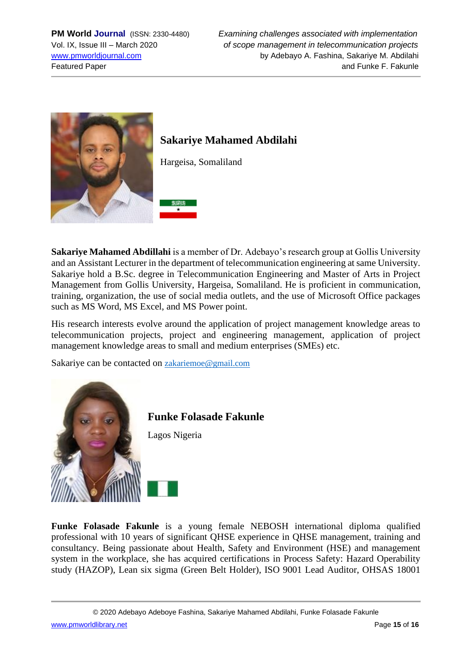

# **Sakariye Mahamed Abdilahi**

Hargeisa, Somaliland



**Sakariye Mahamed Abdillahi** is a member of Dr. Adebayo's research group at Gollis University and an Assistant Lecturer in the department of telecommunication engineering at same University. Sakariye hold a B.Sc. degree in Telecommunication Engineering and Master of Arts in Project Management from Gollis University, Hargeisa, Somaliland. He is proficient in communication, training, organization, the use of social media outlets, and the use of Microsoft Office packages such as MS Word, MS Excel, and MS Power point.

His research interests evolve around the application of project management knowledge areas to telecommunication projects, project and engineering management, application of project management knowledge areas to small and medium enterprises (SMEs) etc.

Sakariye can be contacted on **[zakariemoe@gmail.com](mailto:zakariemoe@gmail.com)** 



**Funke Folasade Fakunle**

Lagos Nigeria

**Funke Folasade Fakunle** is a young female NEBOSH international diploma qualified professional with 10 years of significant QHSE experience in QHSE management, training and consultancy. Being passionate about Health, Safety and Environment (HSE) and management system in the workplace, she has acquired certifications in Process Safety: Hazard Operability study (HAZOP), Lean six sigma (Green Belt Holder), ISO 9001 Lead Auditor, OHSAS 18001